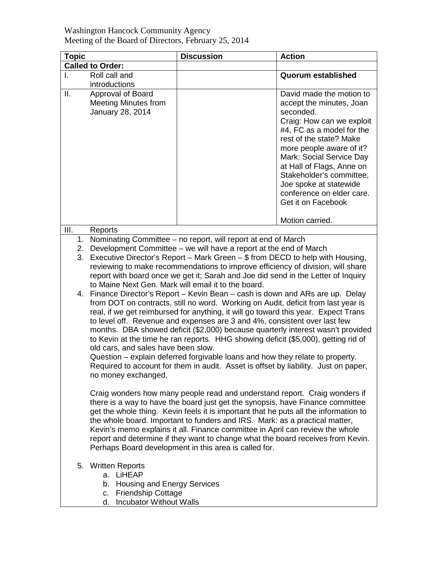## Washington Hancock Community Agency Meeting of the Board of Directors, February 25, 2014

| <b>Topic</b> |                                                                                                                                                                                                                                                                                                                                                                                                                                                                                                                                                                                                                                                                                                                                                                                                                                                                                                                                                                                                                                                                                                                                                                                                                      | <b>Discussion</b> | <b>Action</b>                                                                                                                                                                                                                                                                                                                                                           |
|--------------|----------------------------------------------------------------------------------------------------------------------------------------------------------------------------------------------------------------------------------------------------------------------------------------------------------------------------------------------------------------------------------------------------------------------------------------------------------------------------------------------------------------------------------------------------------------------------------------------------------------------------------------------------------------------------------------------------------------------------------------------------------------------------------------------------------------------------------------------------------------------------------------------------------------------------------------------------------------------------------------------------------------------------------------------------------------------------------------------------------------------------------------------------------------------------------------------------------------------|-------------------|-------------------------------------------------------------------------------------------------------------------------------------------------------------------------------------------------------------------------------------------------------------------------------------------------------------------------------------------------------------------------|
|              | <b>Called to Order:</b>                                                                                                                                                                                                                                                                                                                                                                                                                                                                                                                                                                                                                                                                                                                                                                                                                                                                                                                                                                                                                                                                                                                                                                                              |                   |                                                                                                                                                                                                                                                                                                                                                                         |
| I.           | Roll call and<br>introductions                                                                                                                                                                                                                                                                                                                                                                                                                                                                                                                                                                                                                                                                                                                                                                                                                                                                                                                                                                                                                                                                                                                                                                                       |                   | Quorum established                                                                                                                                                                                                                                                                                                                                                      |
| Ш.           | Approval of Board<br><b>Meeting Minutes from</b><br>January 28, 2014                                                                                                                                                                                                                                                                                                                                                                                                                                                                                                                                                                                                                                                                                                                                                                                                                                                                                                                                                                                                                                                                                                                                                 |                   | David made the motion to<br>accept the minutes, Joan<br>seconded.<br>Craig: How can we exploit<br>#4, FC as a model for the<br>rest of the state? Make<br>more people aware of it?<br>Mark: Social Service Day<br>at Hall of Flags, Anne on<br>Stakeholder's committee,<br>Joe spoke at statewide<br>conference on elder care.<br>Get it on Facebook<br>Motion carried. |
| III.         | Reports                                                                                                                                                                                                                                                                                                                                                                                                                                                                                                                                                                                                                                                                                                                                                                                                                                                                                                                                                                                                                                                                                                                                                                                                              |                   |                                                                                                                                                                                                                                                                                                                                                                         |
|              | 1. Nominating Committee - no report, will report at end of March<br>2. Development Committee – we will have a report at the end of March<br>3. Executive Director's Report – Mark Green – \$ from DECD to help with Housing,<br>reviewing to make recommendations to improve efficiency of division, will share<br>report with board once we get it; Sarah and Joe did send in the Letter of Inquiry<br>to Maine Next Gen. Mark will email it to the board.<br>4. Finance Director's Report – Kevin Bean – cash is down and ARs are up. Delay<br>from DOT on contracts, still no word. Working on Audit, deficit from last year is<br>real, if we get reimbursed for anything, it will go toward this year. Expect Trans<br>to level off. Revenue and expenses are 3 and 4%, consistent over last few<br>months. DBA showed deficit (\$2,000) because quarterly interest wasn't provided<br>to Kevin at the time he ran reports. HHG showing deficit (\$5,000), getting rid of<br>old cars, and sales have been slow.<br>Question – explain deferred forgivable loans and how they relate to property.<br>Required to account for them in audit. Asset is offset by liability. Just on paper,<br>no money exchanged. |                   |                                                                                                                                                                                                                                                                                                                                                                         |
|              | Craig wonders how many people read and understand report. Craig wonders if<br>there is a way to have the board just get the synopsis, have Finance committee<br>get the whole thing. Kevin feels it is important that he puts all the information to<br>the whole board. Important to funders and IRS. Mark: as a practical matter,<br>Kevin's memo explains it all. Finance committee in April can review the whole<br>report and determine if they want to change what the board receives from Kevin.<br>Perhaps Board development in this area is called for.                                                                                                                                                                                                                                                                                                                                                                                                                                                                                                                                                                                                                                                     |                   |                                                                                                                                                                                                                                                                                                                                                                         |
|              | 5. Written Reports<br>a. LiHEAP<br>b. Housing and Energy Services<br>c. Friendship Cottage<br>d. Incubator Without Walls                                                                                                                                                                                                                                                                                                                                                                                                                                                                                                                                                                                                                                                                                                                                                                                                                                                                                                                                                                                                                                                                                             |                   |                                                                                                                                                                                                                                                                                                                                                                         |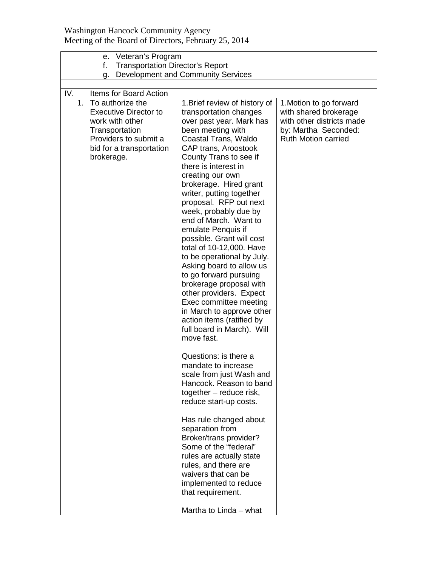## Washington Hancock Community Agency Meeting of the Board of Directors, February 25, 2014

| Veteran's Program<br>е.                                                                                                                                               |                                                                                                                                                                                                                                                                                                                                                                                                                                                                                                                                                                                                                                                                                                                                                                                                                                                                                                                                                                                                                                                                                           |                                                                                                                                     |
|-----------------------------------------------------------------------------------------------------------------------------------------------------------------------|-------------------------------------------------------------------------------------------------------------------------------------------------------------------------------------------------------------------------------------------------------------------------------------------------------------------------------------------------------------------------------------------------------------------------------------------------------------------------------------------------------------------------------------------------------------------------------------------------------------------------------------------------------------------------------------------------------------------------------------------------------------------------------------------------------------------------------------------------------------------------------------------------------------------------------------------------------------------------------------------------------------------------------------------------------------------------------------------|-------------------------------------------------------------------------------------------------------------------------------------|
| <b>Transportation Director's Report</b><br>f.                                                                                                                         |                                                                                                                                                                                                                                                                                                                                                                                                                                                                                                                                                                                                                                                                                                                                                                                                                                                                                                                                                                                                                                                                                           |                                                                                                                                     |
| g.                                                                                                                                                                    | Development and Community Services                                                                                                                                                                                                                                                                                                                                                                                                                                                                                                                                                                                                                                                                                                                                                                                                                                                                                                                                                                                                                                                        |                                                                                                                                     |
|                                                                                                                                                                       |                                                                                                                                                                                                                                                                                                                                                                                                                                                                                                                                                                                                                                                                                                                                                                                                                                                                                                                                                                                                                                                                                           |                                                                                                                                     |
| To authorize the<br>1.                                                                                                                                                |                                                                                                                                                                                                                                                                                                                                                                                                                                                                                                                                                                                                                                                                                                                                                                                                                                                                                                                                                                                                                                                                                           |                                                                                                                                     |
| IV.<br>Items for Board Action<br><b>Executive Director to</b><br>work with other<br>Transportation<br>Providers to submit a<br>bid for a transportation<br>brokerage. | 1. Brief review of history of<br>transportation changes<br>over past year. Mark has<br>been meeting with<br>Coastal Trans, Waldo<br>CAP trans, Aroostook<br>County Trans to see if<br>there is interest in<br>creating our own<br>brokerage. Hired grant<br>writer, putting together<br>proposal. RFP out next<br>week, probably due by<br>end of March. Want to<br>emulate Penquis if<br>possible. Grant will cost<br>total of 10-12,000. Have<br>to be operational by July.<br>Asking board to allow us<br>to go forward pursuing<br>brokerage proposal with<br>other providers. Expect<br>Exec committee meeting<br>in March to approve other<br>action items (ratified by<br>full board in March). Will<br>move fast.<br>Questions: is there a<br>mandate to increase<br>scale from just Wash and<br>Hancock. Reason to band<br>together - reduce risk,<br>reduce start-up costs.<br>Has rule changed about<br>separation from<br>Broker/trans provider?<br>Some of the "federal"<br>rules are actually state<br>rules, and there are<br>waivers that can be<br>implemented to reduce | 1. Motion to go forward<br>with shared brokerage<br>with other districts made<br>by: Martha Seconded:<br><b>Ruth Motion carried</b> |
|                                                                                                                                                                       | that requirement.                                                                                                                                                                                                                                                                                                                                                                                                                                                                                                                                                                                                                                                                                                                                                                                                                                                                                                                                                                                                                                                                         |                                                                                                                                     |
|                                                                                                                                                                       |                                                                                                                                                                                                                                                                                                                                                                                                                                                                                                                                                                                                                                                                                                                                                                                                                                                                                                                                                                                                                                                                                           |                                                                                                                                     |
|                                                                                                                                                                       | Martha to Linda - what                                                                                                                                                                                                                                                                                                                                                                                                                                                                                                                                                                                                                                                                                                                                                                                                                                                                                                                                                                                                                                                                    |                                                                                                                                     |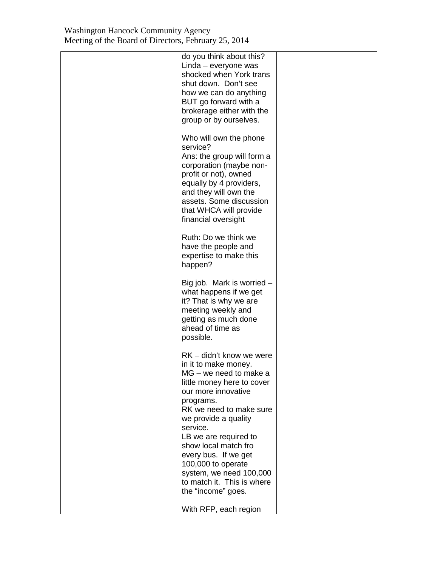| do you think about this?<br>Linda – everyone was<br>shocked when York trans<br>shut down. Don't see<br>how we can do anything<br>BUT go forward with a<br>brokerage either with the<br>group or by ourselves.                                                                                                                                                                             |  |
|-------------------------------------------------------------------------------------------------------------------------------------------------------------------------------------------------------------------------------------------------------------------------------------------------------------------------------------------------------------------------------------------|--|
| Who will own the phone<br>service?<br>Ans: the group will form a<br>corporation (maybe non-<br>profit or not), owned<br>equally by 4 providers,<br>and they will own the<br>assets. Some discussion<br>that WHCA will provide<br>financial oversight                                                                                                                                      |  |
| Ruth: Do we think we<br>have the people and<br>expertise to make this<br>happen?                                                                                                                                                                                                                                                                                                          |  |
| Big job. Mark is worried $-$<br>what happens if we get<br>it? That is why we are<br>meeting weekly and<br>getting as much done<br>ahead of time as<br>possible.                                                                                                                                                                                                                           |  |
| RK - didn't know we were<br>in it to make money.<br>MG - we need to make a<br>little money here to cover<br>our more innovative<br>programs.<br>RK we need to make sure<br>we provide a quality<br>service.<br>LB we are required to<br>show local match fro<br>every bus. If we get<br>100,000 to operate<br>system, we need 100,000<br>to match it. This is where<br>the "income" goes. |  |
| With RFP, each region                                                                                                                                                                                                                                                                                                                                                                     |  |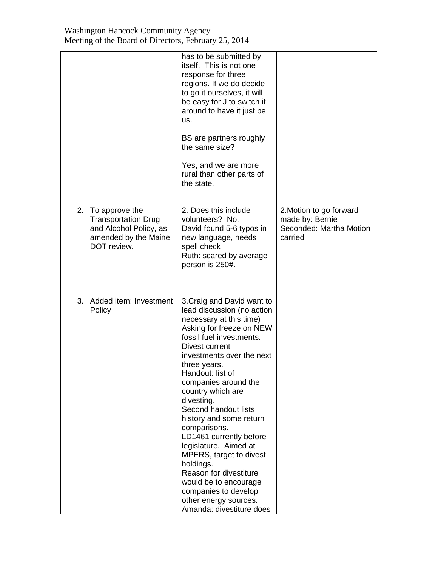|                                                                                                                  | has to be submitted by<br>itself. This is not one<br>response for three<br>regions. If we do decide<br>to go it ourselves, it will<br>be easy for J to switch it<br>around to have it just be<br>us.<br>BS are partners roughly<br>the same size?<br>Yes, and we are more<br>rural than other parts of<br>the state.                                                                                                                                                                                                                                                                     |                                                                                  |
|------------------------------------------------------------------------------------------------------------------|------------------------------------------------------------------------------------------------------------------------------------------------------------------------------------------------------------------------------------------------------------------------------------------------------------------------------------------------------------------------------------------------------------------------------------------------------------------------------------------------------------------------------------------------------------------------------------------|----------------------------------------------------------------------------------|
| 2. To approve the<br><b>Transportation Drug</b><br>and Alcohol Policy, as<br>amended by the Maine<br>DOT review. | 2. Does this include<br>volunteers? No.<br>David found 5-6 typos in<br>new language, needs<br>spell check<br>Ruth: scared by average<br>person is 250#.                                                                                                                                                                                                                                                                                                                                                                                                                                  | 2. Motion to go forward<br>made by: Bernie<br>Seconded: Martha Motion<br>carried |
| 3. Added item: Investment<br>Policy                                                                              | 3. Craig and David want to<br>lead discussion (no action<br>necessary at this time)<br>Asking for freeze on NEW<br>fossil fuel investments.<br>Divest current<br>investments over the next<br>three years.<br>Handout: list of<br>companies around the<br>country which are<br>divesting.<br>Second handout lists<br>history and some return<br>comparisons.<br>LD1461 currently before<br>legislature. Aimed at<br>MPERS, target to divest<br>holdings.<br>Reason for divestiture<br>would be to encourage<br>companies to develop<br>other energy sources.<br>Amanda: divestiture does |                                                                                  |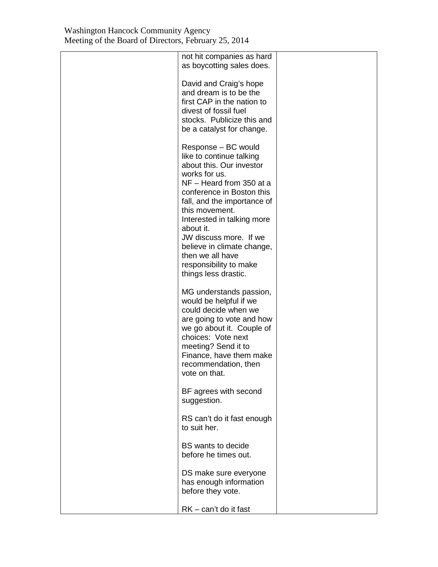| not hit companies as hard<br>as boycotting sales does.                                                                                                                                                                                                                                                                                                                          |  |
|---------------------------------------------------------------------------------------------------------------------------------------------------------------------------------------------------------------------------------------------------------------------------------------------------------------------------------------------------------------------------------|--|
| David and Craig's hope<br>and dream is to be the<br>first CAP in the nation to<br>divest of fossil fuel<br>stocks. Publicize this and<br>be a catalyst for change.                                                                                                                                                                                                              |  |
| Response – BC would<br>like to continue talking<br>about this. Our investor<br>works for us.<br>NF - Heard from 350 at a<br>conference in Boston this<br>fall, and the importance of<br>this movement.<br>Interested in talking more<br>about it.<br>JW discuss more. If we<br>believe in climate change,<br>then we all have<br>responsibility to make<br>things less drastic. |  |
| MG understands passion,<br>would be helpful if we<br>could decide when we<br>are going to vote and how<br>we go about it. Couple of<br>choices: Vote next<br>meeting? Send it to<br>Finance, have them make<br>recommendation, then<br>vote on that.                                                                                                                            |  |
| BF agrees with second<br>suggestion.                                                                                                                                                                                                                                                                                                                                            |  |
| RS can't do it fast enough<br>to suit her.                                                                                                                                                                                                                                                                                                                                      |  |
| <b>BS</b> wants to decide<br>before he times out.                                                                                                                                                                                                                                                                                                                               |  |
| DS make sure everyone<br>has enough information<br>before they vote.                                                                                                                                                                                                                                                                                                            |  |
| RK - can't do it fast                                                                                                                                                                                                                                                                                                                                                           |  |